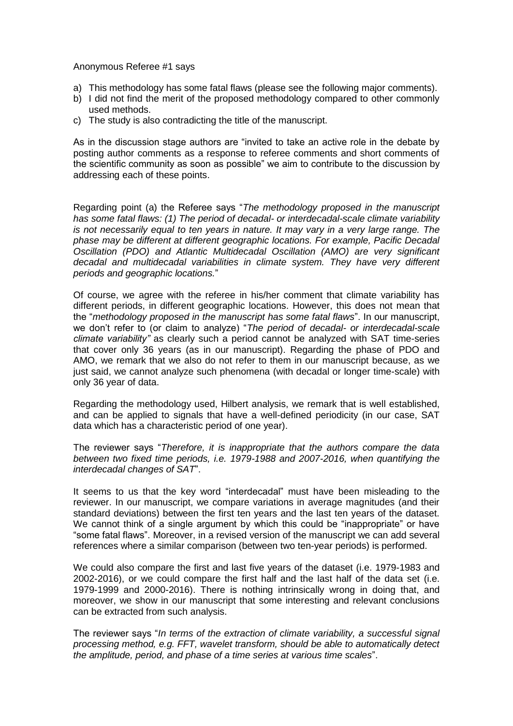Anonymous Referee #1 says

- a) This methodology has some fatal flaws (please see the following major comments).
- b) I did not find the merit of the proposed methodology compared to other commonly used methods.
- c) The study is also contradicting the title of the manuscript.

As in the discussion stage authors are "invited to take an active role in the debate by posting author comments as a response to referee comments and short comments of the scientific community as soon as possible" we aim to contribute to the discussion by addressing each of these points.

Regarding point (a) the Referee says "*The methodology proposed in the manuscript has some fatal flaws: (1) The period of decadal- or interdecadal-scale climate variability is not necessarily equal to ten years in nature. It may vary in a very large range. The phase may be different at different geographic locations. For example, Pacific Decadal Oscillation (PDO) and Atlantic Multidecadal Oscillation (AMO) are very significant decadal and multidecadal variabilities in climate system. They have very different periods and geographic locations.*"

Of course, we agree with the referee in his/her comment that climate variability has different periods, in different geographic locations. However, this does not mean that the "*methodology proposed in the manuscript has some fatal flaws*". In our manuscript, we don't refer to (or claim to analyze) "*The period of decadal- or interdecadal-scale climate variability"* as clearly such a period cannot be analyzed with SAT time-series that cover only 36 years (as in our manuscript). Regarding the phase of PDO and AMO, we remark that we also do not refer to them in our manuscript because, as we just said, we cannot analyze such phenomena (with decadal or longer time-scale) with only 36 year of data.

Regarding the methodology used, Hilbert analysis, we remark that is well established, and can be applied to signals that have a well-defined periodicity (in our case, SAT data which has a characteristic period of one year).

The reviewer says "*Therefore, it is inappropriate that the authors compare the data between two fixed time periods, i.e. 1979-1988 and 2007-2016, when quantifying the interdecadal changes of SAT*".

It seems to us that the key word "interdecadal" must have been misleading to the reviewer. In our manuscript, we compare variations in average magnitudes (and their standard deviations) between the first ten years and the last ten years of the dataset. We cannot think of a single argument by which this could be "inappropriate" or have "some fatal flaws". Moreover, in a revised version of the manuscript we can add several references where a similar comparison (between two ten-year periods) is performed.

We could also compare the first and last five years of the dataset (i.e. 1979-1983 and 2002-2016), or we could compare the first half and the last half of the data set (i.e. 1979-1999 and 2000-2016). There is nothing intrinsically wrong in doing that, and moreover, we show in our manuscript that some interesting and relevant conclusions can be extracted from such analysis.

The reviewer says "*In terms of the extraction of climate variability, a successful signal processing method, e.g. FFT, wavelet transform, should be able to automatically detect the amplitude, period, and phase of a time series at various time scales*".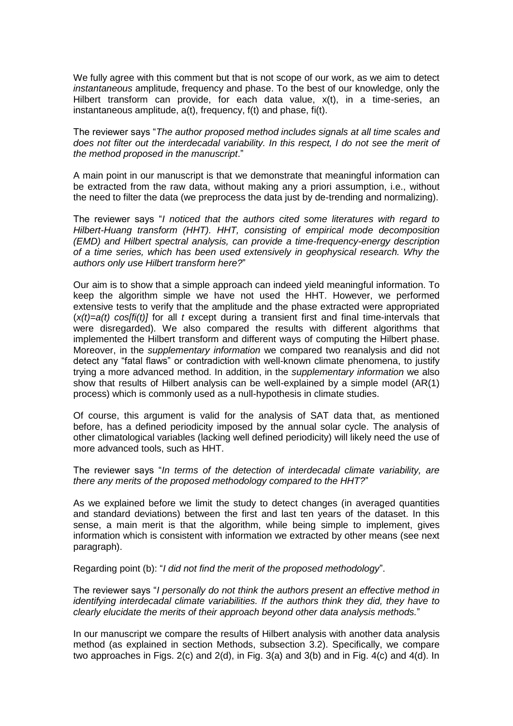We fully agree with this comment but that is not scope of our work, as we aim to detect *instantaneous* amplitude, frequency and phase. To the best of our knowledge, only the Hilbert transform can provide, for each data value, x(t), in a time-series, an instantaneous amplitude, a(t), frequency, f(t) and phase, fi(t).

The reviewer says "*The author proposed method includes signals at all time scales and does not filter out the interdecadal variability. In this respect, I do not see the merit of the method proposed in the manuscript*."

A main point in our manuscript is that we demonstrate that meaningful information can be extracted from the raw data, without making any a priori assumption, i.e., without the need to filter the data (we preprocess the data just by de-trending and normalizing).

The reviewer says "*I noticed that the authors cited some literatures with regard to Hilbert-Huang transform (HHT). HHT, consisting of empirical mode decomposition (EMD) and Hilbert spectral analysis, can provide a time-frequency-energy description of a time series, which has been used extensively in geophysical research. Why the authors only use Hilbert transform here?*"

Our aim is to show that a simple approach can indeed yield meaningful information. To keep the algorithm simple we have not used the HHT. However, we performed extensive tests to verify that the amplitude and the phase extracted were appropriated (*x(t)=a(t) cos[fi(t)]* for all *t* except during a transient first and final time-intervals that were disregarded). We also compared the results with different algorithms that implemented the Hilbert transform and different ways of computing the Hilbert phase. Moreover, in the *supplementary information* we compared two reanalysis and did not detect any "fatal flaws" or contradiction with well-known climate phenomena, to justify trying a more advanced method. In addition, in the *supplementary information* we also show that results of Hilbert analysis can be well-explained by a simple model (AR(1) process) which is commonly used as a null-hypothesis in climate studies.

Of course, this argument is valid for the analysis of SAT data that, as mentioned before, has a defined periodicity imposed by the annual solar cycle. The analysis of other climatological variables (lacking well defined periodicity) will likely need the use of more advanced tools, such as HHT.

The reviewer says "*In terms of the detection of interdecadal climate variability, are there any merits of the proposed methodology compared to the HHT?*"

As we explained before we limit the study to detect changes (in averaged quantities and standard deviations) between the first and last ten years of the dataset. In this sense, a main merit is that the algorithm, while being simple to implement, gives information which is consistent with information we extracted by other means (see next paragraph).

Regarding point (b): "*I did not find the merit of the proposed methodology*".

The reviewer says "*I personally do not think the authors present an effective method in identifying interdecadal climate variabilities. If the authors think they did, they have to clearly elucidate the merits of their approach beyond other data analysis methods.*"

In our manuscript we compare the results of Hilbert analysis with another data analysis method (as explained in section Methods, subsection 3.2). Specifically, we compare two approaches in Figs. 2(c) and 2(d), in Fig. 3(a) and 3(b) and in Fig. 4(c) and 4(d). In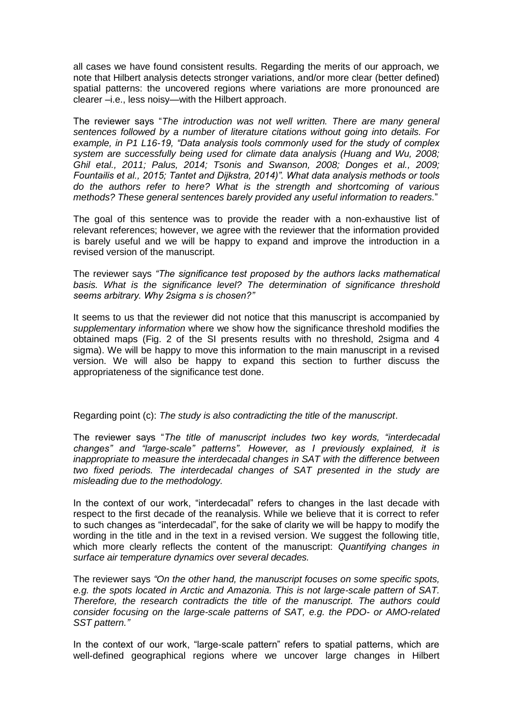all cases we have found consistent results. Regarding the merits of our approach, we note that Hilbert analysis detects stronger variations, and/or more clear (better defined) spatial patterns: the uncovered regions where variations are more pronounced are clearer –i.e., less noisy—with the Hilbert approach.

The reviewer says "*The introduction was not well written. There are many general sentences followed by a number of literature citations without going into details. For example, in P1 L16-19, "Data analysis tools commonly used for the study of complex system are successfully being used for climate data analysis (Huang and Wu, 2008; Ghil etal., 2011; Palus, 2014; Tsonis and Swanson, 2008; Donges et al., 2009; Fountailis et al., 2015; Tantet and Dijkstra, 2014)". What data analysis methods or tools do the authors refer to here? What is the strength and shortcoming of various methods? These general sentences barely provided any useful information to readers.*"

The goal of this sentence was to provide the reader with a non-exhaustive list of relevant references; however, we agree with the reviewer that the information provided is barely useful and we will be happy to expand and improve the introduction in a revised version of the manuscript.

The reviewer says *"The significance test proposed by the authors lacks mathematical basis. What is the significance level? The determination of significance threshold seems arbitrary. Why 2sigma s is chosen?"*

It seems to us that the reviewer did not notice that this manuscript is accompanied by *supplementary information* where we show how the significance threshold modifies the obtained maps (Fig. 2 of the SI presents results with no threshold, 2sigma and 4 sigma). We will be happy to move this information to the main manuscript in a revised version. We will also be happy to expand this section to further discuss the appropriateness of the significance test done.

Regarding point (c): *The study is also contradicting the title of the manuscript*.

The reviewer says "*The title of manuscript includes two key words, "interdecadal changes" and "large-scale" patterns". However, as I previously explained, it is inappropriate to measure the interdecadal changes in SAT with the difference between two fixed periods. The interdecadal changes of SAT presented in the study are misleading due to the methodology.*

In the context of our work, "interdecadal" refers to changes in the last decade with respect to the first decade of the reanalysis. While we believe that it is correct to refer to such changes as "interdecadal", for the sake of clarity we will be happy to modify the wording in the title and in the text in a revised version. We suggest the following title, which more clearly reflects the content of the manuscript: *Quantifying changes in surface air temperature dynamics over several decades.*

The reviewer says *"On the other hand, the manuscript focuses on some specific spots, e.g. the spots located in Arctic and Amazonia. This is not large-scale pattern of SAT. Therefore, the research contradicts the title of the manuscript. The authors could consider focusing on the large-scale patterns of SAT, e.g. the PDO- or AMO-related SST pattern."*

In the context of our work, "large-scale pattern" refers to spatial patterns, which are well-defined geographical regions where we uncover large changes in Hilbert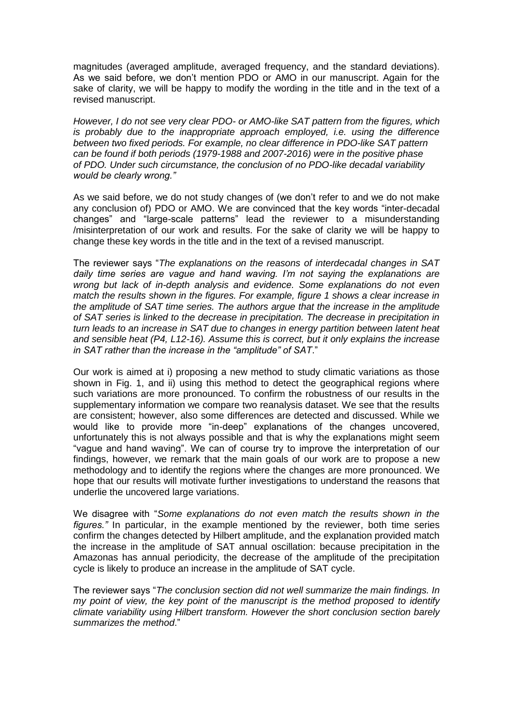magnitudes (averaged amplitude, averaged frequency, and the standard deviations). As we said before, we don't mention PDO or AMO in our manuscript. Again for the sake of clarity, we will be happy to modify the wording in the title and in the text of a revised manuscript.

*However, I do not see very clear PDO- or AMO-like SAT pattern from the figures, which is probably due to the inappropriate approach employed, i.e. using the difference between two fixed periods. For example, no clear difference in PDO-like SAT pattern can be found if both periods (1979-1988 and 2007-2016) were in the positive phase of PDO. Under such circumstance, the conclusion of no PDO-like decadal variability would be clearly wrong."*

As we said before, we do not study changes of (we don't refer to and we do not make any conclusion of) PDO or AMO. We are convinced that the key words "inter-decadal changes" and "large-scale patterns" lead the reviewer to a misunderstanding /misinterpretation of our work and results. For the sake of clarity we will be happy to change these key words in the title and in the text of a revised manuscript.

The reviewer says "*The explanations on the reasons of interdecadal changes in SAT daily time series are vague and hand waving. I'm not saying the explanations are wrong but lack of in-depth analysis and evidence. Some explanations do not even match the results shown in the figures. For example, figure 1 shows a clear increase in the amplitude of SAT time series. The authors argue that the increase in the amplitude of SAT series is linked to the decrease in precipitation. The decrease in precipitation in turn leads to an increase in SAT due to changes in energy partition between latent heat and sensible heat (P4, L12-16). Assume this is correct, but it only explains the increase in SAT rather than the increase in the "amplitude" of SAT*."

Our work is aimed at i) proposing a new method to study climatic variations as those shown in Fig. 1, and ii) using this method to detect the geographical regions where such variations are more pronounced. To confirm the robustness of our results in the supplementary information we compare two reanalysis dataset. We see that the results are consistent; however, also some differences are detected and discussed. While we would like to provide more "in-deep" explanations of the changes uncovered, unfortunately this is not always possible and that is why the explanations might seem "vague and hand waving". We can of course try to improve the interpretation of our findings, however, we remark that the main goals of our work are to propose a new methodology and to identify the regions where the changes are more pronounced. We hope that our results will motivate further investigations to understand the reasons that underlie the uncovered large variations.

We disagree with "*Some explanations do not even match the results shown in the figures."* In particular, in the example mentioned by the reviewer, both time series confirm the changes detected by Hilbert amplitude, and the explanation provided match the increase in the amplitude of SAT annual oscillation: because precipitation in the Amazonas has annual periodicity, the decrease of the amplitude of the precipitation cycle is likely to produce an increase in the amplitude of SAT cycle.

The reviewer says "*The conclusion section did not well summarize the main findings. In my point of view, the key point of the manuscript is the method proposed to identify climate variability using Hilbert transform. However the short conclusion section barely summarizes the method*."